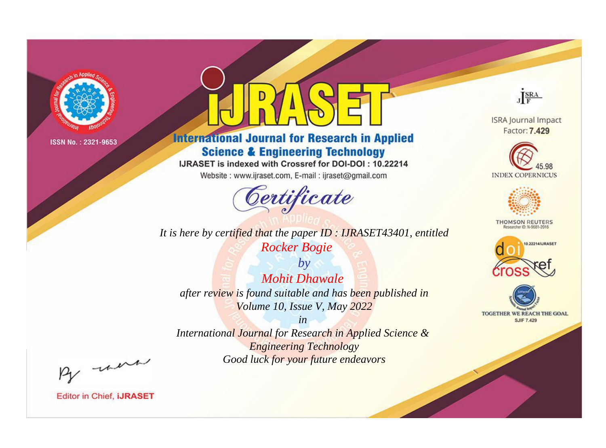

# **International Journal for Research in Applied Science & Engineering Technology**

IJRASET is indexed with Crossref for DOI-DOI: 10.22214

Website: www.ijraset.com, E-mail: ijraset@gmail.com



*It is here by certified that the paper ID : IJRASET43401, entitled Rocker Bogie*

*by Mohit Dhawale after review is found suitable and has been published in Volume 10, Issue V, May 2022*

*in International Journal for Research in Applied Science & Engineering Technology Good luck for your future endeavors*



**ISRA Journal Impact** Factor: 7.429





**THOMSON REUTERS** 





By morn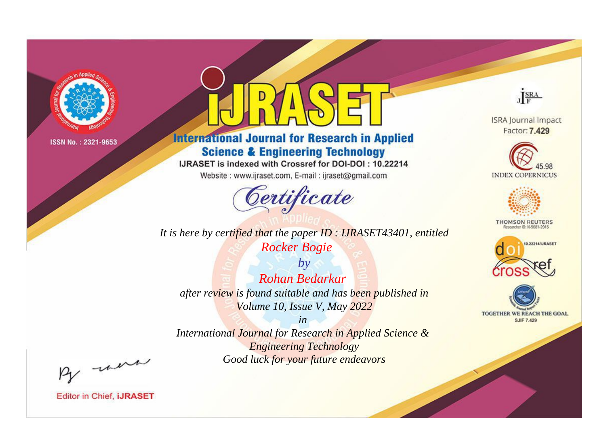

# **International Journal for Research in Applied Science & Engineering Technology**

IJRASET is indexed with Crossref for DOI-DOI: 10.22214

Website: www.ijraset.com, E-mail: ijraset@gmail.com



**ISRA Journal Impact** Factor: 7.429

JERA





**THOMSON REUTERS** 



TOGETHER WE REACH THE GOAL **SJIF 7.429** 

*It is here by certified that the paper ID : IJRASET43401, entitled Rocker Bogie*

*by Rohan Bedarkar after review is found suitable and has been published in Volume 10, Issue V, May 2022*

*in* 

*International Journal for Research in Applied Science & Engineering Technology Good luck for your future endeavors*

By morn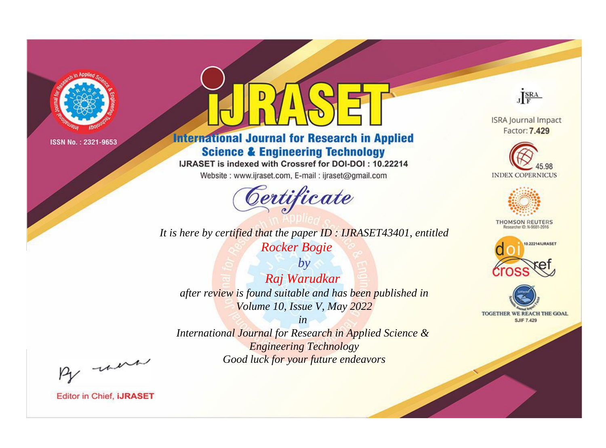

# **International Journal for Research in Applied Science & Engineering Technology**

IJRASET is indexed with Crossref for DOI-DOI: 10.22214

Website: www.ijraset.com, E-mail: ijraset@gmail.com



*It is here by certified that the paper ID : IJRASET43401, entitled*

*Rocker Bogie*

*by Raj Warudkar after review is found suitable and has been published in Volume 10, Issue V, May 2022*

*in International Journal for Research in Applied Science & Engineering Technology Good luck for your future endeavors*

By morn

**Editor in Chief, IJRASET** 

**ISRA Journal Impact** Factor: 7.429

JERA





**THOMSON REUTERS** 



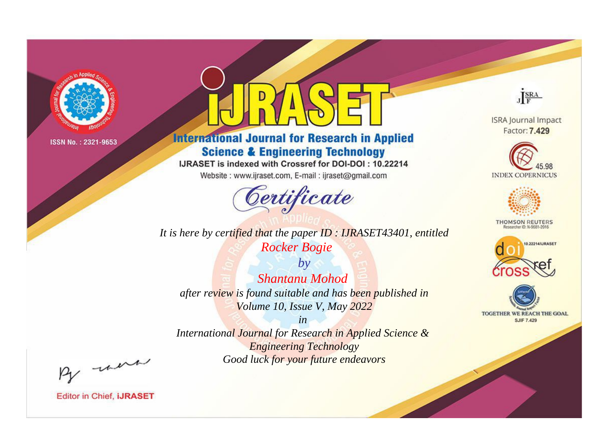

# **International Journal for Research in Applied Science & Engineering Technology**

IJRASET is indexed with Crossref for DOI-DOI: 10.22214

Website: www.ijraset.com, E-mail: ijraset@gmail.com



JERA

**ISRA Journal Impact** Factor: 7.429





**THOMSON REUTERS** 



TOGETHER WE REACH THE GOAL **SJIF 7.429** 

*It is here by certified that the paper ID : IJRASET43401, entitled Rocker Bogie*

*by Shantanu Mohod after review is found suitable and has been published in Volume 10, Issue V, May 2022*

*in* 

*International Journal for Research in Applied Science & Engineering Technology Good luck for your future endeavors*

By morn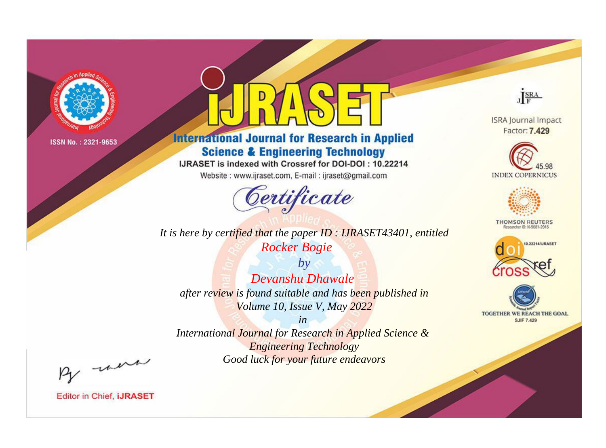

# **International Journal for Research in Applied Science & Engineering Technology**

IJRASET is indexed with Crossref for DOI-DOI: 10.22214

Website: www.ijraset.com, E-mail: ijraset@gmail.com



JERA

**ISRA Journal Impact** Factor: 7.429





**THOMSON REUTERS** 



TOGETHER WE REACH THE GOAL **SJIF 7.429** 

*It is here by certified that the paper ID : IJRASET43401, entitled Rocker Bogie*

*by Devanshu Dhawale after review is found suitable and has been published in Volume 10, Issue V, May 2022*

*in International Journal for Research in Applied Science & Engineering Technology*

*Good luck for your future endeavors*

By morn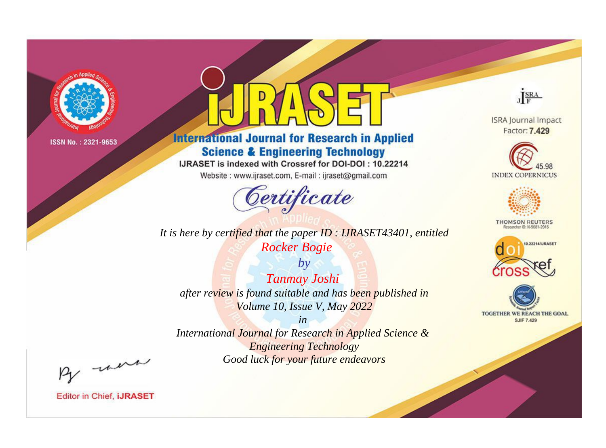

# **International Journal for Research in Applied Science & Engineering Technology**

IJRASET is indexed with Crossref for DOI-DOI: 10.22214

Website: www.ijraset.com, E-mail: ijraset@gmail.com



**ISRA Journal Impact** Factor: 7.429

JERA





**THOMSON REUTERS** 



TOGETHER WE REACH THE GOAL **SJIF 7.429** 

*It is here by certified that the paper ID : IJRASET43401, entitled Rocker Bogie*

*by Tanmay Joshi after review is found suitable and has been published in Volume 10, Issue V, May 2022*

*in* 

*International Journal for Research in Applied Science & Engineering Technology Good luck for your future endeavors*

By morn